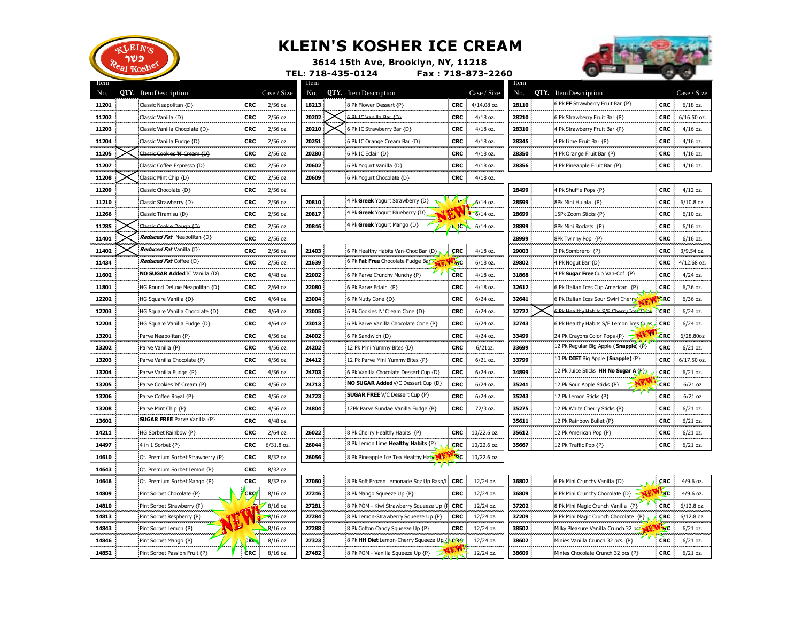

## **KLEIN'S KOSHER ICE CREAM**



**3614 15th Ave, Brooklyn, NY, 11218 TEL: 718-435-0124 Fax : 718-873-2260**

| Item<br>No. | <b>QTY.</b> Item Description        |             | Case / Size  | Item<br>No. | <b>QTY.</b> Item Description               |                       | Case / Size       | Item<br>No. | <b>QTY.</b> Item Description             |                 | Case / Size   |
|-------------|-------------------------------------|-------------|--------------|-------------|--------------------------------------------|-----------------------|-------------------|-------------|------------------------------------------|-----------------|---------------|
| 11201       | Classic Neapolitan {D}              | <b>CRC</b>  | 2/56 oz.     | 18213       | 8 Pk Flower Dessert {P}                    |                       | CRC $4/14.08$ oz. | 28110       | 6 Pk FF Strawberry Fruit Bar {P}         | <b>CRC</b>      | $6/18$ oz.    |
| 11202       | Classic Vanilla {D}                 | <b>CRC</b>  | $2/56$ oz.   | 20202       | 6 Pk IC Vanilla Bar (D)                    | <b>CRC</b>            | $4/18$ oz.        | 28210       | 6 Pk Strawberry Fruit Bar {P}            | <b>CRC</b>      | $6/16.50$ oz. |
| 11203       | Classic Vanilla Chocolate {D}       | <b>CRC</b>  | 2/56 oz.     | 20210       | 6 Pk IC Strawberry Bar (D)                 | <b>CRC</b>            | $4/18$ oz.        | 28310       | 4 Pk Strawberry Fruit Bar {P}            | <b>CRC</b>      | $4/16$ oz.    |
| 11204       | Classic Vanilla Fudge {D}           | <b>CRC</b>  | 2/56 oz.     | 20251       | 6 Pk IC Orange Cream Bar {D}               | <b>CRC</b>            | 4/18 oz.          | 28345       | 4 Pk Lime Fruit Bar {P}                  | <b>CRC</b>      | $4/16$ oz.    |
| 11205       | Classic Cookies 'N' Cream {D}       | <b>CRC</b>  | 2/56 oz.     | 20280       | 6 Pk IC Eclair {D}                         | <b>CRC</b>            | 4/18 oz.          | 28350       | 4 Pk Orange Fruit Bar {P}                | <b>CRC</b>      | $4/16$ oz.    |
| 11207       | Classic Coffee Espresso {D}         | <b>CRC</b>  | $2/56$ oz.   | 20602       | 6 Pk Yogurt Vanilla {D}                    | CRC                   | $4/18$ oz.        | 28356       | 4 Pk Pineapple Fruit Bar {P}             | <b>CRC</b>      | $4/16$ oz.    |
| 11208       | Classic Mint Chip (D)               | <b>CRC</b>  | $2/56$ oz.   | 20609       | 6 Pk Yogurt Chocolate {D}                  | <b>CRC</b>            | $4/18$ oz.        |             |                                          |                 |               |
| 11209       | Classic Chocolate {D}               | <b>CRC</b>  | $2/56$ oz.   |             |                                            |                       |                   | 28499       | 4 Pk Shuffle Pops {P}                    | <b>CRC</b>      | $4/12$ oz.    |
| 11210       | Classic Strawberry {D}              | <b>CRC</b>  | 2/56 oz.     | 20810       | 4 Pk Greek Yogurt Strawberry {D}           |                       | $-6/14$ oz.       | 28599       | 8Pk Mini Hulala {P}                      | <b>CRC</b>      | $6/10.8$ oz.  |
| 11266       | Classic Tiramisu {D}                | <b>CRC</b>  | $2/56$ oz.   | 20817       | 4 Pk Greek Yogurt Blueberry {D}            |                       | $6/14$ oz.        | 28699       | 15Pk Zoom Sticks {P}                     | <b>CRC</b>      | $6/10$ oz.    |
| 11285       | Classic Cookie Dough {D}            | <b>CRC</b>  | $2/56$ oz.   | 20846       | 4 Pk Greek Yogurt Mango {D}                | $\sim$                | $6/14$ oz.        | 28899       | 8Pk Mini Rockets {P}                     | <b>CRC</b>      | $6/16$ oz.    |
| 11401       | <b>Reduced Fat</b> Neapolitan {D}   | <b>CRC</b>  | 2/56 oz.     |             |                                            |                       |                   | 28999       | 8Pk Twinny Pop {P}                       | <b>CRC</b>      | $6/16$ oz.    |
| 11402       | <b>Reduced Fat Vanilla {D}</b>      | <b>CRC</b>  | $2/56$ oz.   | 21403       | 6 Pk Healthy Habits Van-Choc Bar {D}       | CRC                   | $4/18$ oz.        | 29003       | 3 Pk Sombrero {P}                        | <b>CRC</b>      | 3/9.54 oz.    |
| 11434       | <b>Reduced Fat Coffee {D}</b>       | <b>CRC</b>  | 2/56 oz.     | 21639       | 6 Pk Fat Free Chocolate Fudge Bar          | <b>ARC</b>            | $6/18$ oz.        | 29802       | 4 Pk Nogut Bar {D}                       | <b>CRC</b>      | 4/12.68 oz.   |
| 11602       | NO SUGAR Added IC Vanilla {D}       | <b>CRC</b>  | 4/48 oz.     | 22002       | 6 Pk Parve Crunchy Munchy {P}              | <b>CRC</b>            | 4/18 oz.          | 31868       | 4 Pk Sugar Free Cup Van-Cof {P}          | <b>CRC</b>      | $4/24$ oz.    |
| 11801       | HG Round Deluxe Neapolitan {D}      | <b>CRC</b>  | $2/64$ oz.   | 22080       | 6 Pk Parve Eclair {P}                      | <b>CRC</b>            | 4/18 oz.          | 32612       | 6 Pk Italian Ices Cup American {P}       | <b>CRC</b>      | $6/36$ oz.    |
| 12202       | HG Square Vanilla {D}               | <b>CRC</b>  | 4/64 oz.     | 23004       | 6 Pk Nutty Cone {D}                        | <b>CRC</b>            | $6/24$ oz.        | 32641       | 6 Pk Italian Ices Sour Swirl Cherry      | <b>LERC</b>     | $6/36$ oz.    |
| 12203       | HG Square Vanilla Chocolate {D}     | <b>CRC</b>  | 4/64 oz.     | 23005       | 6 Pk Cookies 'N' Cream Cone {D}            | <b>CRC</b>            | $6/24$ oz.        | 32722       | 6 Pk Healthy Habits S/F Cherry Ices Cups | <b>CRC</b>      | $6/24$ oz.    |
| 12204       | HG Square Vanilla Fudge {D}         | <b>CRC</b>  | 4/64 oz.     | 23013       | 6 Pk Parve Vanilla Chocolate Cone {P}      | <b>CRC</b>            | $6/24$ oz.        | 32743       | 6 Pk Healthy Habits S/F Lemon Ices Cuns  | <b>CRC</b>      | 6/24 oz.      |
| 13201       | Parve Neapolitan {P}                | <b>CRC</b>  | $4/56$ oz.   | 24002       | 6 Pk Sandwich {D}                          | <b>CRC</b>            | $4/24$ oz.        | 33499       | 24 Pk Crayons Color Pops {P}             | <b>CRC</b>      | 6/28.80oz     |
| 13202       | Parve Vanilla {P}                   | <b>CRC</b>  | 4/56 oz.     | 24202       | 12 Pk Mini Yummy Bites {D}                 | <b>CRC</b>            | $6/21$ oz.        | 33699       | 12 Pk Regular Big Apple (Snapple) {P}    | <b>CRC</b>      | $6/21$ oz.    |
| 13203       | Parve Vanilla Chocolate {P}         | <b>CRC</b>  | 4/56 oz.     | 24412       | 12 Pk Parve Mini Yummy Bites {P}           | <b>CRC</b>            | $6/21$ oz.        | 33799       | 10 Pk DIET Big Apple (Snapple) {P}       | <b>CRC</b>      | 6/17.50 oz.   |
| 13204       | Parve Vanilla Fudge {P}             | <b>CRC</b>  | 4/56 oz.     | 24703       | 6 Pk Vanilla Chocolate Dessert Cup {D}     | <b>CRC</b>            | $6/24$ oz.        | 34899       | 12 Pk Juice Sticks HH No Sugar A {P}     | <b>CRC</b>      | $6/21$ oz.    |
| 13205       | Parve Cookies 'N' Cream {P}         | <b>CRC</b>  | 4/56 oz.     | 24713       | <b>NO SUGAR Added V/C Dessert Cup {D}</b>  | <b>CRC</b>            | $6/24$ oz.        | 35241       | 12 Pk Sour Apple Sticks {P}              | <b>CRC</b>      | $6/21$ oz     |
| 13206       | Parve Coffee Royal {P}              | <b>CRC</b>  | 4/56 oz.     | 24723       | <b>SUGAR FREE</b> V/C Dessert Cup {P}      | <b>CRC</b>            | $6/24$ oz.        | 35243       | 12 Pk Lemon Sticks {P}                   | <b>CRC</b>      | $6/21$ oz     |
| 13208       | Parve Mint Chip {P}                 | <b>CRC</b>  | 4/56 oz.     | 24804       | 12Pk Parve Sundae Vanilla Fudge {P}        | CRC                   | 72/3 oz.          | 35275       | 12 Pk White Cherry Sticks {P}            | <b>CRC</b>      | $6/21$ oz.    |
| 13602       | <b>SUGAR FREE</b> Parve Vanilla {P} | <b>CRC</b>  | 4/48 oz.     |             |                                            |                       |                   | 35611       | 12 Pk Rainbow Bullet {P}                 | <b>CRC</b>      | $6/21$ oz.    |
| 14211       | HG Sorbet Rainbow {P}               | <b>CRC</b>  | $2/64$ oz.   | 26022       | 8 Pk Cherry Healthy Habits {P}             | CRC                   | 10/22.6 oz.       | 35612       | 12 Pk American Pop {P}                   | <b>CRC</b>      | $6/21$ oz.    |
| 14497       | 4 in 1 Sorbet {P}                   | <b>CRC</b>  | $6/31.8$ oz. | 26044       | 8 Pk Lemon Lime Healthy Habits {P}         | <b>CRC</b>            | 10/22.6 oz.       | 35667       | 12 Pk Traffic Pop {P}                    | <b>CRC</b>      | $6/21$ oz.    |
| 14610       | Qt. Premium Sorbet Strawberry {P}   | <b>CRC</b>  | 8/32 oz.     | 26056       | 8 Pk Pineapple Ice Tea Healthy Haby        | <b>P</b> <sub>C</sub> | $10/22.6$ oz.     |             |                                          |                 |               |
| 14643       | Qt. Premium Sorbet Lemon {P}        | <b>CRC</b>  | 8/32 oz.     |             |                                            |                       |                   |             |                                          |                 |               |
| 14646       | Qt. Premium Sorbet Mango {P}        | CRC         | 8/32 oz.     | 27060       | 8 Pk Soft Frozen Lemonade Sqz Up Rasp/L    | <b>CRC</b>            | 12/24 oz.         | 36802       | 6 Pk Mini Crunchy Vanilla {D}            | <b>CRC</b>      | $4/9.6$ oz.   |
| 14809       | Pint Sorbet Chocolate {P}           | <b>CRO</b>  | $8/16$ oz.   | 27246       | 8 Pk Mango Squeeze Up {P}                  | <b>CRC</b>            | 12/24 oz.         | 36809       | 6 Pk Mini Crunchy Chocolate {D}          | <sup>+</sup> RC | $4/9.6$ oz.   |
| 14810       | Pint Sorbet Strawberry {P}          |             | $8/16$ oz.   | 27281       | 8 Pk POM - Kiwi Strawberry Squeeze Up {F   | <b>CRC</b>            | 12/24 oz.         | 37202       | 8 Pk Mini Magic Crunch Vanilla {P}       | <b>CRC</b>      | $6/12.8$ oz.  |
| 14813       | Pint Sorbet Respberry {P}           |             | $-8/16$ oz.  | 27284       | 8 Pk Lemon-Strawberry Squeeze Up {P}       | <b>CRC</b>            | 12/24 oz.         | 37209       | 8 Pk Mini Magic Crunch Chocolate {P}     | CRC             | $6/12.8$ oz.  |
| 14843       | Pint Sorbet Lemon {P}               |             | 8/16 oz.     | 27288       | 8 Pk Cotton Candy Squeeze Up {P}           | <b>CRC</b>            | 12/24 oz.         | 38502       | Milky Pleasure Vanilla Crunch 32 pcc.    | ЧC              | $6/21$ oz.    |
| 14846       | Pint Sorbet Mango {P}               | <b>EREN</b> | 8/16 oz.     | 27323       | 8 Pk HH Diet Lemon-Cherry Squeeze Up { CRO |                       | 12/24 oz.         | 38602       | Minies Vanilla Crunch 32 pcs. {P}        | CRC             | $6/21$ oz.    |
| 14852       | Pint Sorbet Passion Fruit {P}       | CRC -       | $8/16$ oz.   | 27482       | 8 Pk POM - Vanilla Squeeze Up {P}          |                       | 12/24 oz.         | 38609       | Minies Chocolate Crunch 32 pcs {P}       | <b>CRC</b>      | $6/21$ oz.    |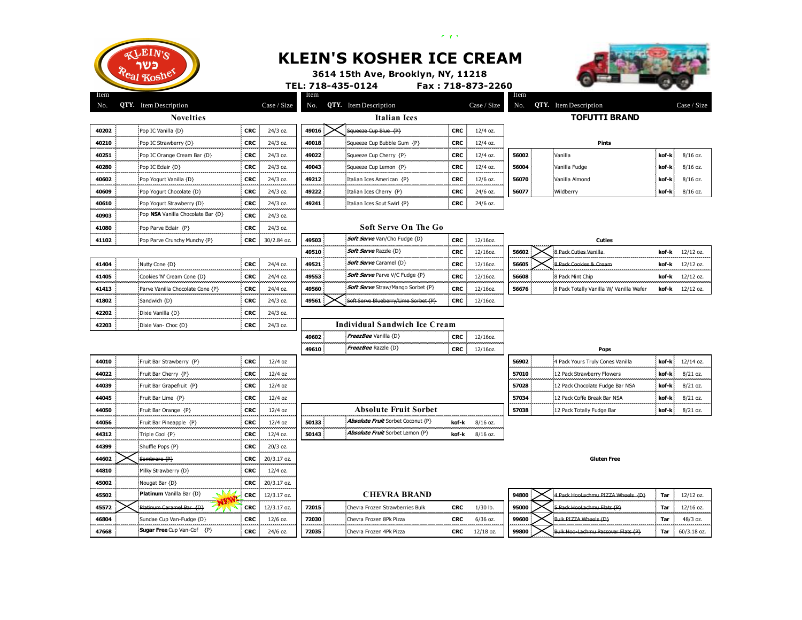

## **KLEIN'S KOSHER ICE CREAM**

 $\mathcal{A}=\mathbf{y}^{\top}\mathbf{y}$  .



**3614 15th Ave, Brooklyn, NY, 11218**

|             |                                   |                           | TEL: 718-435-0124 |                                                        |            | Fax: 718-873-2260 |             |                                         |       |             |
|-------------|-----------------------------------|---------------------------|-------------------|--------------------------------------------------------|------------|-------------------|-------------|-----------------------------------------|-------|-------------|
| Item<br>No. | <b>QTY.</b> Item Description      | Case / Size               | Item<br>No.       | <b>QTY.</b> Item Description                           |            | Case / Size       | Item<br>No. | <b>QTY.</b> Item Description            |       | Case / Size |
|             | <b>Novelties</b>                  |                           |                   | <b>Italian</b> Ices                                    |            |                   |             | <b>TOFUTTI BRAND</b>                    |       |             |
| 40202       | Pop IC Vanilla {D}                | CRC :<br>24/3 oz.         | 49016             | Squeeze Cup Blue {P}                                   | <b>CRC</b> | 12/4 oz.          |             |                                         |       |             |
| 40210       | Pop IC Strawberry {D}             | <b>CRC</b><br>24/3 oz.    | 49018             | Squeeze Cup Bubble Gum {P}                             | <b>CRC</b> | 12/4 oz.          |             | <b>Pints</b>                            |       |             |
| 40251       | Pop IC Orange Cream Bar {D}       | <b>CRC</b><br>24/3 oz.    | 49022             | Squeeze Cup Cherry {P}                                 | CRC        | $12/4$ oz.        | 56002       | Vanilla                                 | kof-k | $8/16$ oz.  |
| 40280       | Pop IC Eclair {D}                 | <b>CRC</b><br>24/3 oz.    | 49043             | Squeeze Cup Lemon {P}                                  | <b>CRC</b> | 12/4 oz.          | 56004       | Vanilla Fudge                           | kof-k | $8/16$ oz.  |
| 40602       | Pop Yogurt Vanilla {D}            | <b>CRC</b><br>24/3 oz.    | 49212             | Italian Ices American {P}                              | CRC        | $12/6$ oz.        | 56070       | Vanilla Almond                          | kof-k | 8/16 oz.    |
| 40609       | Pop Yogurt Chocolate {D}          | <b>CRC</b><br>24/3 oz.    | 49222             | Italian Ices Cherry {P}                                | <b>CRC</b> | 24/6 oz.          | 56077       | Wildberry                               | kof-k | 8/16 oz.    |
| 40610       | Pop Yogurt Strawberry {D}         | CRC :<br>24/3 oz.         | 49241             | Italian Ices Sout Swirl {P}                            | CRC        | 24/6 oz.          |             |                                         |       |             |
| 40903       | Pop NSA Vanilla Chocolate Bar {D} | CRC :<br>24/3 oz.         |                   |                                                        |            |                   |             |                                         |       |             |
| 41080       | Pop Parve Eclair {P}              | <b>CRC</b><br>24/3 oz.    |                   | <b>Soft Serve On The Go</b>                            |            |                   |             |                                         |       |             |
| 41102       | Pop Parve Crunchy Munchy {P}      | CRC :<br>30/2.84 oz.      | 49503             | <b>Soft Serve</b> Van/Cho Fudge {D}<br>--------------- | <b>CRC</b> | 12/16oz.          |             | Cuties                                  |       |             |
|             |                                   |                           | 49510             | Soft Serve Razzle {D}                                  | <b>CRC</b> | 12/16oz.          | 56602       | 8 Pack Cuties Vanilla                   | kof-k | $12/12$ oz. |
| 41404       | Nutty Cone {D}                    | <b>CRC</b><br>24/4 oz.    | 49521             | <b>Soft Serve</b> Caramel {D}                          | <b>CRC</b> | 12/16oz.          | 56605       | 8 Pack Cookies & Cream                  | kof-k | $12/12$ oz. |
| 41405       | Cookies 'N' Cream Cone {D}        | <b>CRC</b><br>24/4 oz.    | 49553             | <b>Soft Serve</b> Parve V/C Fudge {P}                  | CRC        | 12/16oz.          | 56608       | 8 Pack Mint Chip                        | kof-k | 12/12 oz.   |
| 41413       | Parve Vanilla Chocolate Cone {P}  | <b>CRC</b><br>24/4 oz.    | 49560             | <b>Soft Serve</b> Straw/Mango Sorbet {P}               | <b>CRC</b> | 12/16oz.          | 56676       | 8 Pack Totally Vanilla W/ Vanilla Wafer | kof-k | $12/12$ oz. |
| 41802       | Sandwich {D}                      | <b>CRC</b><br>24/3 oz.    | 49561             | Soft Serve Blueberry/Lime Sorbet {P}                   | <b>CRC</b> | 12/16oz.          |             |                                         |       |             |
| 42202       | Dixie Vanilla {D}                 | <b>CRC</b><br>24/3 oz.    |                   |                                                        |            |                   |             |                                         |       |             |
| 42203       | Dixie Van- Choc {D}               | <b>CRC</b><br>24/3 oz.    |                   | <b>Individual Sandwich Ice Cream</b>                   |            |                   |             |                                         |       |             |
|             |                                   |                           | 49602             | FreezBee Vanilla {D}                                   | <b>CRC</b> | 12/16oz.          |             |                                         |       |             |
|             |                                   |                           | 49610             | FreezBee Razzle {D}                                    | <b>CRC</b> | 12/16oz.          |             | Pops                                    |       |             |
| 44010       | Fruit Bar Strawberry {P}          | <b>CRC</b><br>$12/4$ oz   |                   |                                                        |            |                   | 56902       | 4 Pack Yours Truly Cones Vanilla        | kof-k | $12/14$ oz. |
| 44022       | Fruit Bar Cherry {P}              | <b>CRC</b><br>12/4 oz     |                   |                                                        |            |                   | 57010       | 12 Pack Strawberry Flowers              | kof-k | 8/21 oz.    |
| 44039       | Fruit Bar Grapefruit {P}          | <b>CRC</b><br>12/4 oz     |                   |                                                        |            |                   | 57028       | 12 Pack Chocolate Fudge Bar NSA         | kof-k | 8/21 oz.    |
| 44045       | Fruit Bar Lime {P}                | <b>CRC</b><br>$12/4$ oz   |                   |                                                        |            |                   | 57034       | 12 Pack Coffe Break Bar NSA             | kof-k | 8/21 oz.    |
| 44050       | Fruit Bar Orange {P}              | <b>CRC</b><br>$12/4$ oz   |                   | <b>Absolute Fruit Sorbet</b>                           |            |                   | 57038       | 12 Pack Totally Fudge Bar               | kof-k | 8/21 oz.    |
| 44056       | Fruit Bar Pineapple {P}           | <b>CRC</b><br>$12/4$ oz   | 50133             | Absolute Fruit Sorbet Coconut {P}                      | kof-k      | 8/16 oz.          |             |                                         |       |             |
| 44312       | Triple Cool {P}                   | <b>CRC</b><br>$12/4$ oz.  | 50143             | <b>Absolute Fruit</b> Sorbet Lemon {P}                 | kof-k      | 8/16 oz.          |             |                                         |       |             |
| 44399       | Shuffle Pops {P}                  | <b>CRC</b><br>$20/3$ oz.  |                   |                                                        |            |                   |             |                                         |       |             |
| 44602       | Sombrero {P}                      | 20/3.17 oz.<br><b>CRC</b> |                   |                                                        |            |                   |             | <b>Gluten Free</b>                      |       |             |
| 44810       | Milky Strawberry {D}              | <b>CRC</b><br>12/4 oz.    |                   |                                                        |            |                   |             |                                         |       |             |
| 45002       | Nougat Bar {D}                    | 20/3.17 oz.<br>CRC :      |                   |                                                        |            |                   |             |                                         |       |             |
| 45502       | Platinum Vanilla Bar {D}          | CRC 12/3.17 oz.           |                   | <b>CHEVRA BRAND</b>                                    |            |                   | 94800       | 4 Pack HooLachmu PIZZA Wheels (D)       | Tar   | 12/12 oz.   |
| 45572       | Platinum Caramel Bar {D}          | CRC 12/3.17 oz.           | 72015             | Chevra Frozen Strawberries Bulk                        | <b>CRC</b> | $1/30$ lb.        | 95000       | 5 Pack HooLachmu Flats (P)              | Tar   | $12/16$ oz. |
| 46804       | Sundae Cup Van-Fudge {D}          | <b>CRC</b><br>12/6 oz.    | 72030             | Chevra Frozen 8Pk Pizza                                | <b>CRC</b> | $6/36$ oz.        | 99600       | Bulk PIZZA Wheels (D)                   | Tar   | 48/3 oz.    |
| 47668       | <b>Sugar Free</b> Cup Van-Cof {P} | <b>CRC</b><br>24/6 oz.    | 72035             | Chevra Frozen 4Pk Pizza                                | <b>CRC</b> | $12/18$ oz.       | 99800       | Bulk Hoo-Lachmu Passover Flats (P)      | Tar   | 60/3.18 oz. |